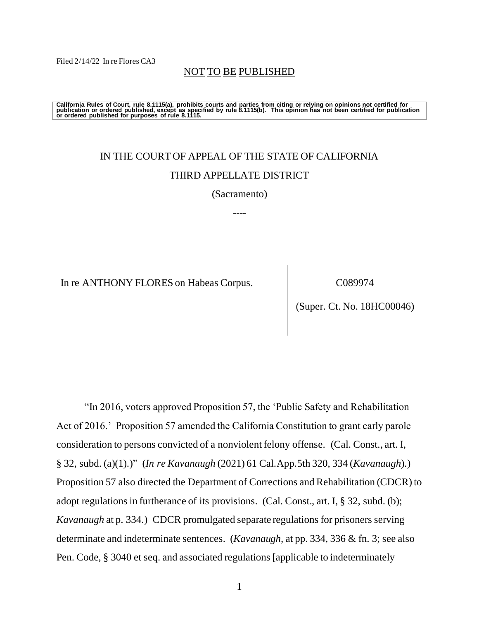Filed 2/14/22 In re Flores CA3

NOT TO BE PUBLISHED

California Rules of Court, rule 8.1115(a), prohibits courts and parties from citing or relying on opinions not certified for<br>publication or ordered published, except as specified by rule 8.1115(b). This opinion has not be

# IN THE COURT OF APPEAL OF THE STATE OF CALIFORNIA THIRD APPELLATE DISTRICT

(Sacramento)

----

In re ANTHONY FLORES on Habeas Corpus. C089974

(Super. Ct. No. 18HC00046)

"In 2016, voters approved Proposition 57, the 'Public Safety and Rehabilitation Act of 2016.' Proposition 57 amended the California Constitution to grant early parole consideration to persons convicted of a nonviolent felony offense. (Cal. Const., art. I, § 32, subd. (a)(1).)" (*In re Kavanaugh* (2021) 61 Cal.App.5th 320, 334 (*Kavanaugh*).) Proposition 57 also directed the Department of Corrections and Rehabilitation (CDCR) to adopt regulations in furtherance of its provisions. (Cal. Const., art. I, § 32, subd. (b); *Kavanaugh* at p. 334.) CDCR promulgated separate regulations for prisoners serving determinate and indeterminate sentences. (*Kavanaugh,* at pp. 334, 336 & fn. 3; see also Pen. Code, § 3040 et seq. and associated regulations [applicable to indeterminately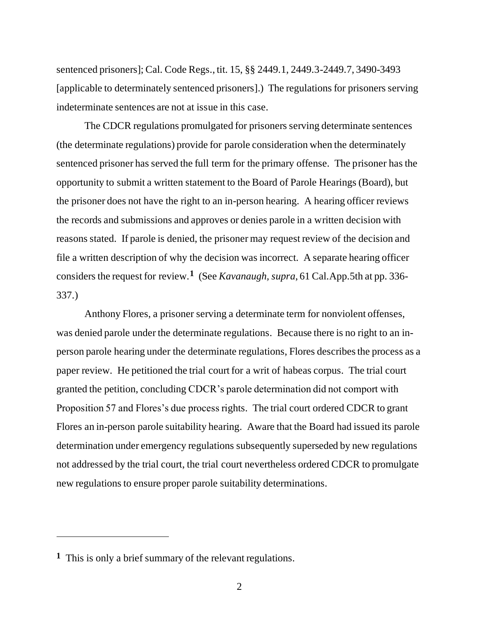sentenced prisoners]; Cal. Code Regs., tit. 15, §§ 2449.1, 2449.3-2449.7, 3490-3493 [applicable to determinately sentenced prisoners].) The regulations for prisoners serving indeterminate sentences are not at issue in this case.

The CDCR regulations promulgated for prisoners serving determinate sentences (the determinate regulations) provide for parole consideration when the determinately sentenced prisoner has served the full term for the primary offense. The prisoner has the opportunity to submit a written statement to the Board of Parole Hearings (Board), but the prisoner does not have the right to an in-person hearing. A hearing officer reviews the records and submissions and approves or denies parole in a written decision with reasons stated. If parole is denied, the prisoner may request review of the decision and file a written description of why the decision was incorrect. A separate hearing officer considers the request for review.**<sup>1</sup>** (See *Kavanaugh, supra*, 61 Cal.App.5th at pp. 336- 337.)

Anthony Flores, a prisoner serving a determinate term for nonviolent offenses, was denied parole under the determinate regulations. Because there is no right to an inperson parole hearing under the determinate regulations, Flores describes the process as a paper review. He petitioned the trial court for a writ of habeas corpus. The trial court granted the petition, concluding CDCR's parole determination did not comport with Proposition 57 and Flores's due process rights. The trial court ordered CDCR to grant Flores an in-person parole suitability hearing. Aware that the Board had issued its parole determination under emergency regulations subsequently superseded by new regulations not addressed by the trial court, the trial court nevertheless ordered CDCR to promulgate new regulations to ensure proper parole suitability determinations.

**<sup>1</sup>** This is only a brief summary of the relevant regulations.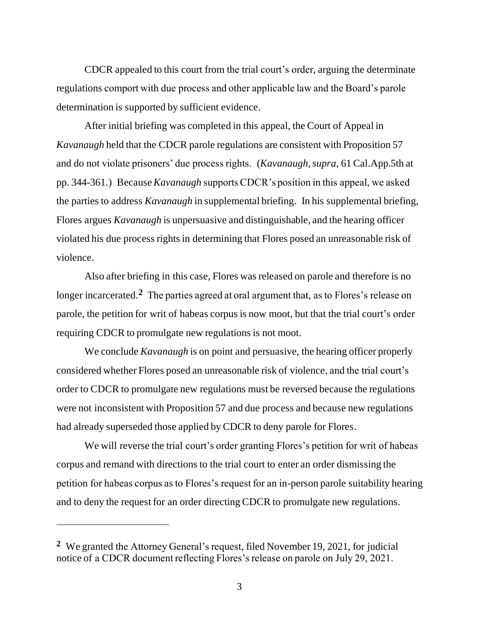CDCR appealed to this court from the trial court's order, arguing the determinate regulations comport with due process and other applicable law and the Board's parole determination is supported by sufficient evidence.

After initial briefing was completed in this appeal, the Court of Appeal in *Kavanaugh* held that the CDCR parole regulations are consistent with Proposition 57 and do not violate prisoners' due process rights. (*Kavanaugh, supra*, 61 Cal.App.5th at pp. 344-361.) Because *Kavanaugh* supports CDCR's position in this appeal, we asked the parties to address *Kavanaugh* in supplemental briefing. In his supplemental briefing, Flores argues *Kavanaugh* is unpersuasive and distinguishable, and the hearing officer violated his due process rights in determining that Flores posed an unreasonable risk of violence.

Also after briefing in this case, Flores was released on parole and therefore is no longer incarcerated.**<sup>2</sup>** The parties agreed at oral argument that, as to Flores's release on parole, the petition for writ of habeas corpus is now moot, but that the trial court's order requiring CDCR to promulgate new regulations is not moot.

We conclude *Kavanaugh* is on point and persuasive, the hearing officer properly considered whether Flores posed an unreasonable risk of violence, and the trial court's order to CDCR to promulgate new regulations must be reversed because the regulations were not inconsistent with Proposition 57 and due process and because new regulations had already superseded those applied by CDCR to deny parole for Flores.

We will reverse the trial court's order granting Flores's petition for writ of habeas corpus and remand with directions to the trial court to enter an order dismissing the petition for habeas corpus as to Flores's request for an in-person parole suitability hearing and to deny the request for an order directing CDCR to promulgate new regulations.

**<sup>2</sup>** We granted the Attorney General's request, filed November 19, 2021, for judicial notice of a CDCR document reflecting Flores's release on parole on July 29, 2021.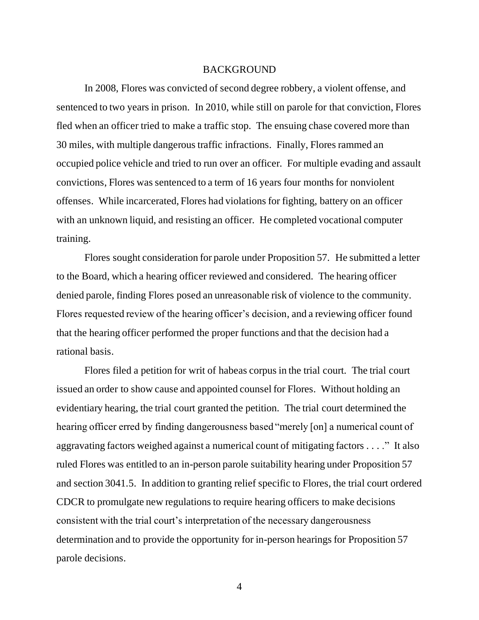## BACKGROUND

In 2008, Flores was convicted of second degree robbery, a violent offense, and sentenced to two years in prison. In 2010, while still on parole for that conviction, Flores fled when an officer tried to make a traffic stop. The ensuing chase covered more than 30 miles, with multiple dangerous traffic infractions. Finally, Flores rammed an occupied police vehicle and tried to run over an officer. For multiple evading and assault convictions, Flores was sentenced to a term of 16 years four months for nonviolent offenses. While incarcerated, Flores had violations for fighting, battery on an officer with an unknown liquid, and resisting an officer. He completed vocational computer training.

Flores sought consideration for parole under Proposition 57. He submitted a letter to the Board, which a hearing officer reviewed and considered. The hearing officer denied parole, finding Flores posed an unreasonable risk of violence to the community. Flores requested review of the hearing officer's decision, and a reviewing officer found that the hearing officer performed the proper functions and that the decision had a rational basis.

Flores filed a petition for writ of habeas corpus in the trial court. The trial court issued an order to show cause and appointed counsel for Flores. Without holding an evidentiary hearing, the trial court granted the petition. The trial court determined the hearing officer erred by finding dangerousness based "merely [on] a numerical count of aggravating factors weighed against a numerical count of mitigating factors . . . ." It also ruled Flores was entitled to an in-person parole suitability hearing under Proposition 57 and section 3041.5. In addition to granting relief specific to Flores, the trial court ordered CDCR to promulgate new regulations to require hearing officers to make decisions consistent with the trial court's interpretation of the necessary dangerousness determination and to provide the opportunity for in-person hearings for Proposition 57 parole decisions.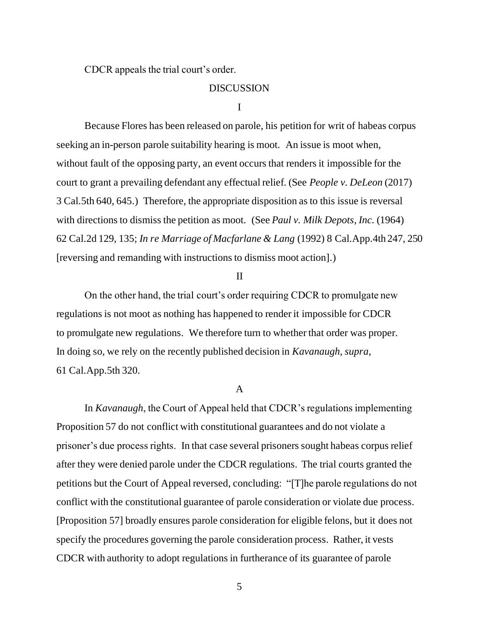CDCR appeals the trial court's order.

## **DISCUSSION**

#### I

Because Flores has been released on parole, his petition for writ of habeas corpus seeking an in-person parole suitability hearing is moot. An issue is moot when, without fault of the opposing party, an event occurs that renders it impossible for the court to grant a prevailing defendant any effectual relief. (See *People v. DeLeon* (2017) 3 Cal.5th 640, 645.) Therefore, the appropriate disposition as to this issue is reversal with directions to dismiss the petition as moot. (See *Paul v. Milk Depots, Inc.* (1964) 62 Cal.2d 129, 135; *In re Marriage of Macfarlane & Lang* (1992) 8 Cal.App.4th 247, 250 [reversing and remanding with instructions to dismiss moot action].)

### II

On the other hand, the trial court's order requiring CDCR to promulgate new regulations is not moot as nothing has happened to render it impossible for CDCR to promulgate new regulations. We therefore turn to whether that order was proper. In doing so, we rely on the recently published decision in *Kavanaugh, supra*, 61 Cal.App.5th 320.

### A

In *Kavanaugh*, the Court of Appeal held that CDCR's regulations implementing Proposition 57 do not conflict with constitutional guarantees and do not violate a prisoner's due process rights. In that case several prisoners sought habeas corpus relief after they were denied parole under the CDCR regulations. The trial courts granted the petitions but the Court of Appeal reversed, concluding: "[T]he parole regulations do not conflict with the constitutional guarantee of parole consideration or violate due process. [Proposition 57] broadly ensures parole consideration for eligible felons, but it does not specify the procedures governing the parole consideration process. Rather, it vests CDCR with authority to adopt regulations in furtherance of its guarantee of parole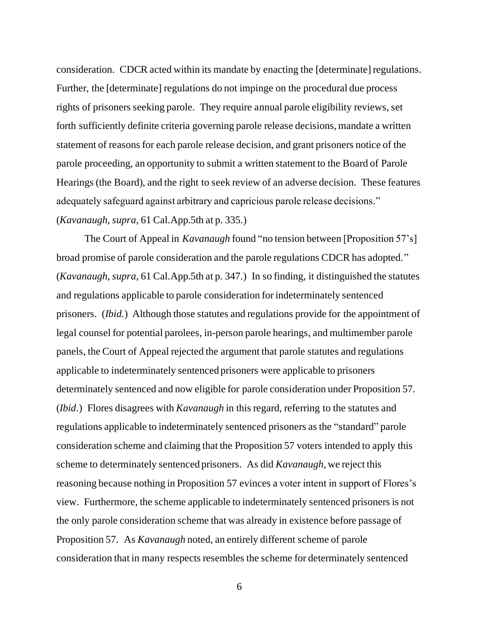consideration. CDCR acted within its mandate by enacting the [determinate] regulations. Further, the [determinate] regulations do not impinge on the procedural due process rights of prisoners seeking parole. They require annual parole eligibility reviews, set forth sufficiently definite criteria governing parole release decisions, mandate a written statement of reasons for each parole release decision, and grant prisoners notice of the parole proceeding, an opportunity to submit a written statement to the Board of Parole Hearings (the Board), and the right to seek review of an adverse decision. These features adequately safeguard against arbitrary and capricious parole release decisions." (*Kavanaugh, supra*, 61 Cal.App.5th at p. 335.)

The Court of Appeal in *Kavanaugh* found "no tension between [Proposition 57's] broad promise of parole consideration and the parole regulations CDCR has adopted." (*Kavanaugh, supra*, 61 Cal.App.5th at p. 347.) In so finding, it distinguished the statutes and regulations applicable to parole consideration for indeterminately sentenced prisoners. (*Ibid.*) Although those statutes and regulations provide for the appointment of legal counsel for potential parolees, in-person parole hearings, and multimember parole panels, the Court of Appeal rejected the argument that parole statutes and regulations applicable to indeterminately sentenced prisoners were applicable to prisoners determinately sentenced and now eligible for parole consideration under Proposition 57. (*Ibid*.) Flores disagrees with *Kavanaugh* in this regard, referring to the statutes and regulations applicable to indeterminately sentenced prisoners as the "standard" parole consideration scheme and claiming that the Proposition 57 voters intended to apply this scheme to determinately sentenced prisoners. As did *Kavanaugh*, we reject this reasoning because nothing in Proposition 57 evinces a voter intent in support of Flores's view. Furthermore, the scheme applicable to indeterminately sentenced prisoners is not the only parole consideration scheme that was already in existence before passage of Proposition 57. As *Kavanaugh* noted, an entirely different scheme of parole consideration that in many respects resembles the scheme for determinately sentenced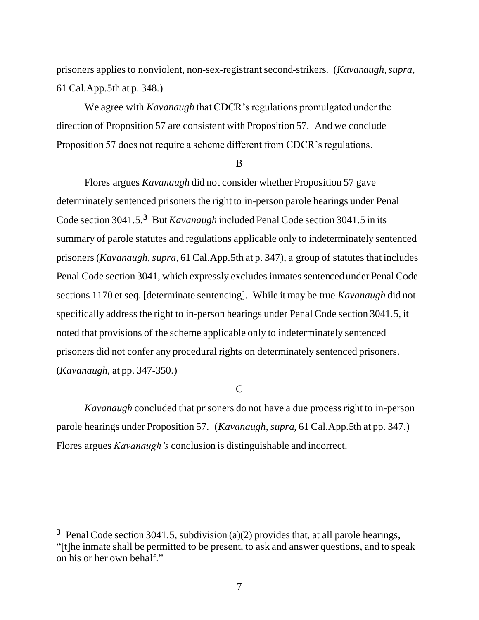prisoners applies to nonviolent, non-sex-registrant second-strikers. (*Kavanaugh, supra*, 61 Cal.App.5th at p. 348.)

We agree with *Kavanaugh* that CDCR's regulations promulgated under the direction of Proposition 57 are consistent with Proposition 57. And we conclude Proposition 57 does not require a scheme different from CDCR's regulations.

#### B

Flores argues *Kavanaugh* did not consider whether Proposition 57 gave determinately sentenced prisoners the right to in-person parole hearings under Penal Code section 3041.5.**<sup>3</sup>** But *Kavanaugh* included Penal Code section 3041.5 in its summary of parole statutes and regulations applicable only to indeterminately sentenced prisoners (*Kavanaugh, supra*, 61 Cal.App.5th at p. 347), a group of statutes that includes Penal Code section 3041, which expressly excludes inmates sentenced under Penal Code sections 1170 et seq. [determinate sentencing]. While it may be true *Kavanaugh* did not specifically address the right to in-person hearings under Penal Code section 3041.5, it noted that provisions of the scheme applicable only to indeterminately sentenced prisoners did not confer any procedural rights on determinately sentenced prisoners. (*Kavanaugh,* at pp. 347-350.)

 $\overline{C}$ 

*Kavanaugh* concluded that prisoners do not have a due process right to in-person parole hearings under Proposition 57. (*Kavanaugh, supra*, 61 Cal.App.5th at pp. 347.) Flores argues *Kavanaugh's* conclusion is distinguishable and incorrect.

**<sup>3</sup>** Penal Code section 3041.5, subdivision (a)(2) provides that, at all parole hearings, "[t]he inmate shall be permitted to be present, to ask and answer questions, and to speak on his or her own behalf."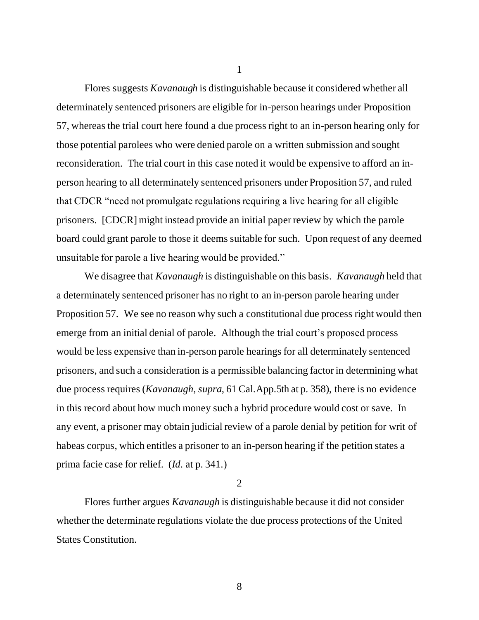Flores suggests *Kavanaugh* is distinguishable because it considered whether all determinately sentenced prisoners are eligible for in-person hearings under Proposition 57, whereas the trial court here found a due process right to an in-person hearing only for those potential parolees who were denied parole on a written submission and sought reconsideration. The trial court in this case noted it would be expensive to afford an inperson hearing to all determinately sentenced prisoners under Proposition 57, and ruled that CDCR "need not promulgate regulations requiring a live hearing for all eligible prisoners. [CDCR] might instead provide an initial paper review by which the parole board could grant parole to those it deems suitable for such. Upon request of any deemed unsuitable for parole a live hearing would be provided."

We disagree that *Kavanaugh* is distinguishable on this basis. *Kavanaugh* held that a determinately sentenced prisoner has no right to an in-person parole hearing under Proposition 57. We see no reason why such a constitutional due process right would then emerge from an initial denial of parole. Although the trial court's proposed process would be less expensive than in-person parole hearings for all determinately sentenced prisoners, and such a consideration is a permissible balancing factor in determining what due process requires (*Kavanaugh, supra*, 61 Cal.App.5th at p. 358), there is no evidence in this record about how much money such a hybrid procedure would cost or save. In any event, a prisoner may obtain judicial review of a parole denial by petition for writ of habeas corpus, which entitles a prisoner to an in-person hearing if the petition states a prima facie case for relief. (*Id*. at p. 341.)

2

Flores further argues *Kavanaugh* is distinguishable because it did not consider whether the determinate regulations violate the due process protections of the United States Constitution.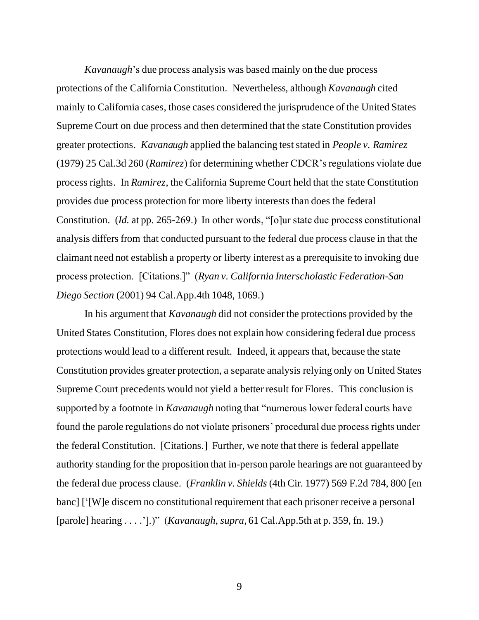*Kavanaugh*'s due process analysis was based mainly on the due process protections of the California Constitution. Nevertheless, although *Kavanaugh* cited mainly to California cases, those cases considered the jurisprudence of the United States Supreme Court on due process and then determined that the state Constitution provides greater protections. *Kavanaugh* applied the balancing test stated in *People v. Ramirez* (1979) 25 Cal.3d 260 (*Ramirez*) for determining whether CDCR's regulations violate due process rights. In *Ramirez*, the California Supreme Court held that the state Constitution provides due process protection for more liberty interests than does the federal Constitution. (*Id.* at pp. 265-269.) In other words, "[o]ur state due process constitutional analysis differs from that conducted pursuant to the federal due process clause in that the claimant need not establish a property or liberty interest as a prerequisite to invoking due process protection. [Citations.]" (*Ryan v. California Interscholastic Federation-San Diego Section* (2001) 94 Cal.App.4th 1048, 1069.)

In his argument that *Kavanaugh* did not consider the protections provided by the United States Constitution, Flores does not explain how considering federal due process protections would lead to a different result. Indeed, it appears that, because the state Constitution provides greater protection, a separate analysis relying only on United States Supreme Court precedents would not yield a better result for Flores. This conclusion is supported by a footnote in *Kavanaugh* noting that "numerous lower federal courts have found the parole regulations do not violate prisoners' procedural due process rights under the federal Constitution. [Citations.] Further, we note that there is federal appellate authority standing for the proposition that in-person parole hearings are not guaranteed by the federal due process clause. (*Franklin v. Shields* (4th Cir. 1977) 569 F.2d 784, 800 [en banc] ['[W]e discern no constitutional requirement that each prisoner receive a personal [parole] hearing . . . .'].)" (*Kavanaugh, supra*, 61 Cal.App.5th at p. 359, fn. 19.)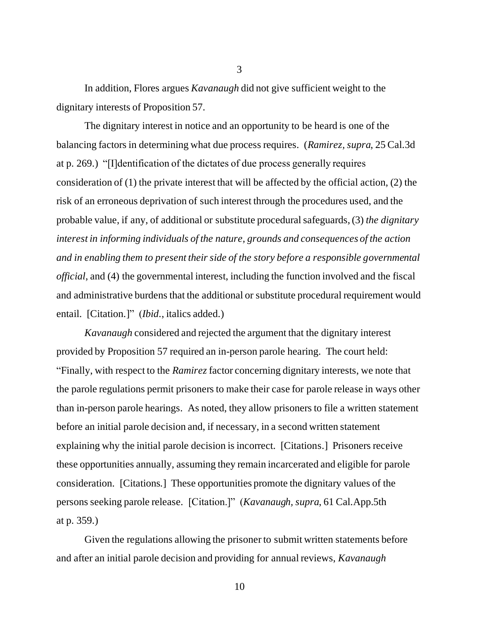In addition, Flores argues *Kavanaugh* did not give sufficient weight to the dignitary interests of Proposition 57.

The dignitary interest in notice and an opportunity to be heard is one of the balancing factors in determining what due process requires. (*Ramirez, supra*, 25 Cal.3d at p. 269.) "[I]dentification of the dictates of due process generally requires consideration of (1) the private interest that will be affected by the official action, (2) the risk of an erroneous deprivation of such interest through the procedures used, and the probable value, if any, of additional or substitute procedural safeguards, (3) *the dignitary interest in informing individuals of the nature, grounds and consequences of the action and in enabling them to present their side of the story before a responsible governmental official*, and (4) the governmental interest, including the function involved and the fiscal and administrative burdens that the additional or substitute procedural requirement would entail. [Citation.]" (*Ibid*., italics added.)

*Kavanaugh* considered and rejected the argument that the dignitary interest provided by Proposition 57 required an in-person parole hearing. The court held: "Finally, with respect to the *Ramirez* factor concerning dignitary interests, we note that the parole regulations permit prisoners to make their case for parole release in ways other than in-person parole hearings. As noted, they allow prisoners to file a written statement before an initial parole decision and, if necessary, in a second written statement explaining why the initial parole decision is incorrect. [Citations.] Prisoners receive these opportunities annually, assuming they remain incarcerated and eligible for parole consideration. [Citations.] These opportunities promote the dignitary values of the persons seeking parole release. [Citation.]" (*Kavanaugh, supra*, 61 Cal.App.5th at p. 359.)

Given the regulations allowing the prisoner to submit written statements before and after an initial parole decision and providing for annual reviews, *Kavanaugh*

3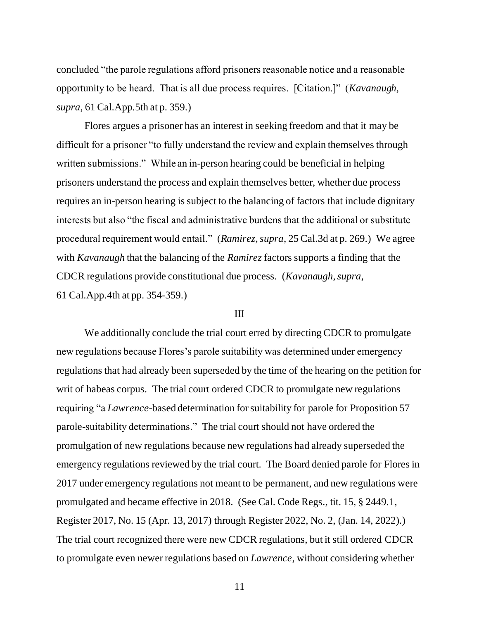concluded "the parole regulations afford prisoners reasonable notice and a reasonable opportunity to be heard. That is all due process requires. [Citation.]" (*Kavanaugh, supra*, 61 Cal.App.5th at p. 359.)

Flores argues a prisoner has an interest in seeking freedom and that it may be difficult for a prisoner "to fully understand the review and explain themselves through written submissions." While an in-person hearing could be beneficial in helping prisoners understand the process and explain themselves better, whether due process requires an in-person hearing is subject to the balancing of factors that include dignitary interests but also "the fiscal and administrative burdens that the additional or substitute procedural requirement would entail." (*Ramirez, supra*, 25 Cal.3d at p. 269.) We agree with *Kavanaugh* that the balancing of the *Ramirez* factors supports a finding that the CDCR regulations provide constitutional due process. (*Kavanaugh, supra*, 61 Cal.App.4th at pp. 354-359.)

### III

We additionally conclude the trial court erred by directing CDCR to promulgate new regulations because Flores's parole suitability was determined under emergency regulations that had already been superseded by the time of the hearing on the petition for writ of habeas corpus. The trial court ordered CDCR to promulgate new regulations requiring "a *Lawrence*-based determination for suitability for parole for Proposition 57 parole-suitability determinations." The trial court should not have ordered the promulgation of new regulations because new regulations had already superseded the emergency regulations reviewed by the trial court. The Board denied parole for Flores in 2017 under emergency regulations not meant to be permanent, and new regulations were promulgated and became effective in 2018. (See Cal. Code Regs., tit. 15, § 2449.1, Register 2017, No. 15 (Apr. 13, 2017) through Register 2022, No. 2, (Jan. 14, 2022).) The trial court recognized there were new CDCR regulations, but it still ordered CDCR to promulgate even newer regulations based on *Lawrence*, without considering whether